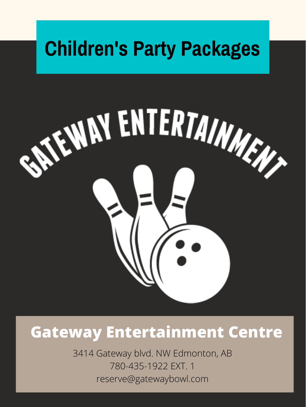### **Gateway Entertainment Centre**

3414 Gateway blvd. NW Edmonton, AB 780-435-1922 EXT. 1 reserve@gatewaybowl.com

# **Children's Party Packages**

# **SEEWAY ENTERTAINMENT**  $\mathbf{E}$

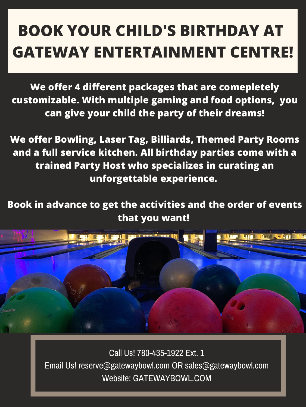**We offer 4 different packages that are comepletely customizable. With multiple gaming and food options, you can give your child the party of their dreams!**

**We offer Bowling, Laser Tag, Billiards, Themed Party Rooms and a full service kitchen. All birthday parties come with a trained Party Host who specializes in curating an unforgettable experience.**

**Book in advance to get the activities and the order of events**

#### **that you want!**



# **BOOK YOUR CHILD'S BIRTHDAY AT GATEWAY ENTERTAINMENT CENTRE!**

#### Call Us! 780-435-1922 Ext. 1

Email Us! reserve@gatewaybowl.com OR sales@gatewaybowl.com Website: GATEWAYBOWL.COM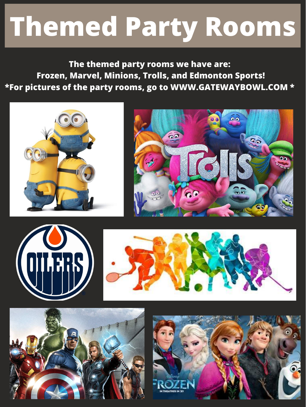# **Themed Party Rooms**

**The themed party rooms we have are: Frozen, Marvel, Minions, Trolls, and Edmonton Sports! \*For pictures of the party rooms, go to WWW.GATEWAYBOWL.COM \***











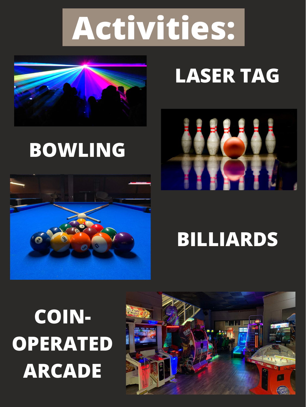# **Activities:**



# **LASER TAG**



# **BOWLING**



# **BILLIARDS**

# **COIN-OPERATED ARCADE**

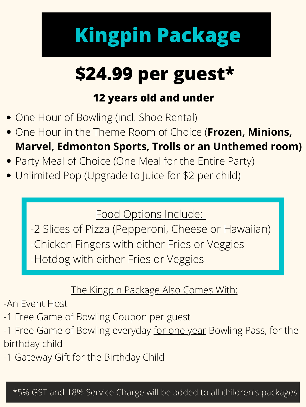# **Kingpin Package**

#### Food Options Include:

-2 Slices of Pizza (Pepperoni, Cheese or Hawaiian) -Chicken Fingers with either Fries or Veggies -Hotdog with either Fries or Veggies

#### The Kingpin Package Also Comes With:

-An Event Host

- -1 Free Game of Bowling Coupon per guest
- -1 Free Game of Bowling everyday for one year Bowling Pass, for the birthday child
- -1 Gateway Gift for the Birthday Child

# **\$24.99 per guest\* 12 years old and under**

- One Hour of Bowling (incl. Shoe Rental)
- One Hour in the Theme Room of Choice (**Frozen, Minions, Marvel, Edmonton Sports, Trolls or an Unthemed room)**
- Party Meal of Choice (One Meal for the Entire Party)
- Unlimited Pop (Upgrade to Juice for \$2 per child)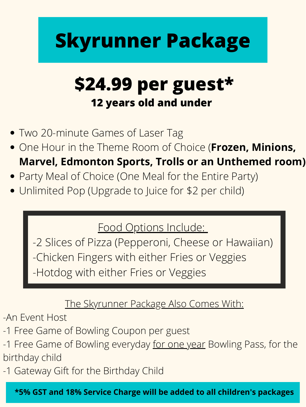# **Skyrunner Package**

#### Food Options Include:

-2 Slices of Pizza (Pepperoni, Cheese or Hawaiian) -Chicken Fingers with either Fries or Veggies -Hotdog with either Fries or Veggies

#### The Skyrunner Package Also Comes With:

-An Event Host

- Two 20-minute Games of Laser Tag
- One Hour in the Theme Room of Choice (**Frozen, Minions, Marvel, Edmonton Sports, Trolls or an Unthemed room)**
- Party Meal of Choice (One Meal for the Entire Party)
- Unlimited Pop (Upgrade to Juice for \$2 per child)

- -1 Free Game of Bowling Coupon per guest
- -1 Free Game of Bowling everyday for one year Bowling Pass, for the birthday child
- -1 Gateway Gift for the Birthday Child

### **\$24.99 per guest\* 12 years old and under**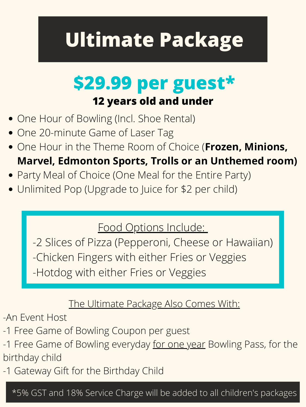# **Ultimate Package**

#### Food Options Include:

-2 Slices of Pizza (Pepperoni, Cheese or Hawaiian) -Chicken Fingers with either Fries or Veggies -Hotdog with either Fries or Veggies

#### The Ultimate Package Also Comes With:

-An Event Host

- -1 Free Game of Bowling Coupon per guest
- -1 Free Game of Bowling everyday for one year Bowling Pass, for the birthday child
- -1 Gateway Gift for the Birthday Child

### **\$29.99 per guest\* 12 years old and under**

- One Hour of Bowling (Incl. Shoe Rental)
- One 20-minute Game of Laser Tag
- One Hour in the Theme Room of Choice (**Frozen, Minions, Marvel, Edmonton Sports, Trolls or an Unthemed room)**
- Party Meal of Choice (One Meal for the Entire Party)
- Unlimited Pop (Upgrade to Juice for \$2 per child)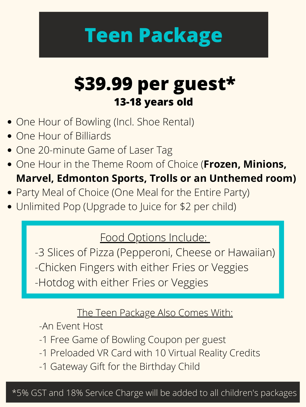# **Teen Package**

#### Food Options Include:

-3 Slices of Pizza (Pepperoni, Cheese or Hawaiian) -Chicken Fingers with either Fries or Veggies -Hotdog with either Fries or Veggies

#### The Teen Package Also Comes With:

-An Event Host

- -1 Free Game of Bowling Coupon per guest
- -1 Preloaded VR Card with 10 Virtual Reality Credits
- -1 Gateway Gift for the Birthday Child
- One Hour of Bowling (Incl. Shoe Rental)
- One Hour of Billiards
- One 20-minute Game of Laser Tag
- One Hour in the Theme Room of Choice (**Frozen, Minions, Marvel, Edmonton Sports, Trolls or an Unthemed room)**
- Party Meal of Choice (One Meal for the Entire Party)
- Unlimited Pop (Upgrade to Juice for \$2 per child)

### **\$39.99 per guest\* 13-18 years old**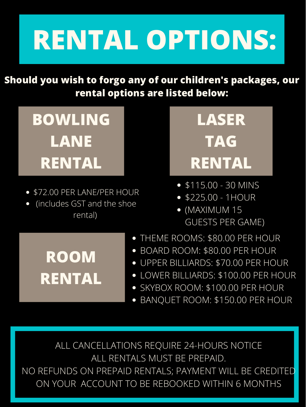# **RENTAL OPTIONS:**

**Should you wish to forgo any of our children's packages, our rental options are listed below:**



- \$115.00 30 MINS
- \$225.00 1HOUR
- (MAXIMUM 15
- \$72.00 PER LANE/PER HOUR
- (includes GST and the shoe
- 

#### rental)



### GUESTS PER GAME)

**ROOM**

**RENTAL**

- THEME ROOMS: \$80.00 PER HOUR
- BOARD ROOM: \$80.00 PER HOUR
- UPPER BILLIARDS: \$70.00 PER HOUR  $\bullet$
- LOWER BILLIARDS: \$100.00 PER HOUR
- SKYBOX ROOM: \$100.00 PER HOUR
- BANQUET ROOM: \$150.00 PER HOUR

ALL CANCELLATIONS REQUIRE 24-HOURS NOTICE ALL RENTALS MUST BE PREPAID. NO REFUNDS ON PREPAID RENTALS; PAYMENT WILL BE CREDITED ON YOUR ACCOUNT TO BE REBOOKED WITHIN 6 MONTHS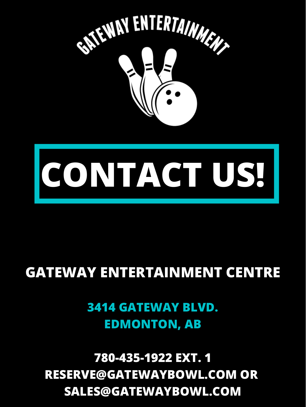

# **CONTACT US!**

### **GATEWAY ENTERTAINMENT CENTRE**

**3414 GATEWAY BLVD. EDMONTON, AB**

**780-435-1922 EXT. 1 RESERVE@GATEWAYBOWL.COM OR SALES@GATEWAYBOWL.COM**